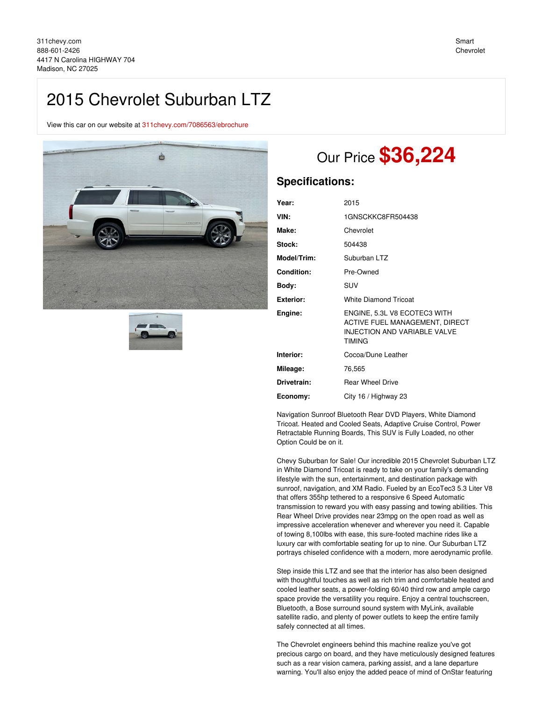## 2015 Chevrolet Suburban LTZ

View this car on our website at [311chevy.com/7086563/ebrochure](https://311chevy.com/vehicle/7086563/2015-chevrolet-suburban-ltz-madison-nc-27025/7086563/ebrochure)





# Our Price **\$36,224**

### **Specifications:**

| Year:       | 2015                                                                                                                   |
|-------------|------------------------------------------------------------------------------------------------------------------------|
| VIN:        | 1GNSCKKC8FR504438                                                                                                      |
| Make:       | Chevrolet                                                                                                              |
| Stock:      | 504438                                                                                                                 |
| Model/Trim: | Suburban LTZ                                                                                                           |
| Condition:  | Pre-Owned                                                                                                              |
| Body:       | SUV                                                                                                                    |
| Exterior:   | <b>White Diamond Tricoat</b>                                                                                           |
| Engine:     | ENGINE, 5.3L V8 ECOTEC3 WITH<br>ACTIVE FUEL MANAGEMENT, DIRECT<br><b>INJECTION AND VARIABLE VALVE</b><br><b>TIMING</b> |
| Interior:   | Cocoa/Dune Leather                                                                                                     |
| Mileage:    | 76,565                                                                                                                 |
| Drivetrain: | <b>Rear Wheel Drive</b>                                                                                                |
| Economy:    | City 16 / Highway 23                                                                                                   |

Navigation Sunroof Bluetooth Rear DVD Players, White Diamond Tricoat. Heated and Cooled Seats, Adaptive Cruise Control, Power Retractable Running Boards, This SUV is Fully Loaded, no other Option Could be on it.

Chevy Suburban for Sale! Our incredible 2015 Chevrolet Suburban LTZ in White Diamond Tricoat is ready to take on your family's demanding lifestyle with the sun, entertainment, and destination package with sunroof, navigation, and XM Radio. Fueled by an EcoTec3 5.3 Liter V8 that offers 355hp tethered to a responsive 6 Speed Automatic transmission to reward you with easy passing and towing abilities. This Rear Wheel Drive provides near 23mpg on the open road as well as impressive acceleration whenever and wherever you need it. Capable of towing 8,100lbs with ease, this sure-footed machine rides like a luxury car with comfortable seating for up to nine. Our Suburban LTZ portrays chiseled confidence with a modern, more aerodynamic profile.

Step inside this LTZ and see that the interior has also been designed with thoughtful touches as well as rich trim and comfortable heated and cooled leather seats, a power-folding 60/40 third row and ample cargo space provide the versatility you require. Enjoy a central touchscreen, Bluetooth, a Bose surround sound system with MyLink, available satellite radio, and plenty of power outlets to keep the entire family safely connected at all times.

The Chevrolet engineers behind this machine realize you've got precious cargo on board, and they have meticulously designed features such as a rear vision camera, parking assist, and a lane departure warning. You'll also enjoy the added peace of mind of OnStar featuring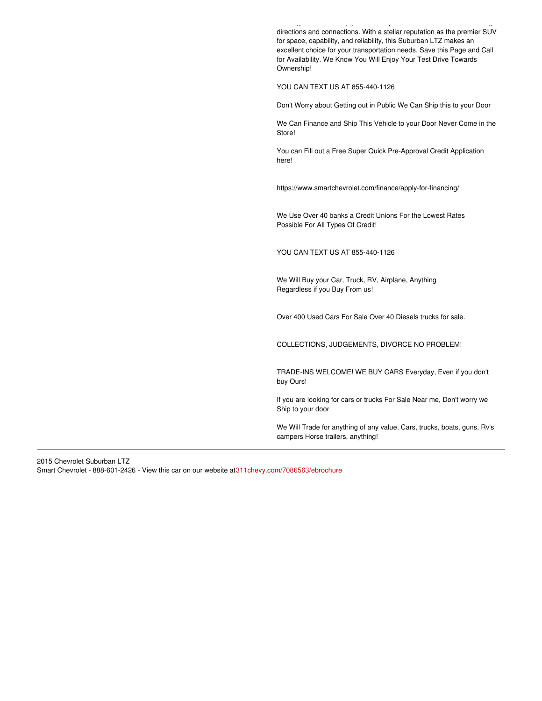warning. You like a state of mind of mind of mind of mind of mind of mind of ons directions and connections. With a stellar reputation as the premier SUV for space, capability, and reliability, this Suburban LTZ makes an excellent choice for your transportation needs. Save this Page and Call for Availability. We Know You Will Enjoy Your Test Drive Towards Ownership!

YOU CAN TEXT US AT 855-440-1126

Don't Worry about Getting out in Public We Can Ship this to your Door

We Can Finance and Ship This Vehicle to your Door Never Come in the Store!

You can Fill out a Free Super Quick Pre-Approval Credit Application here!

https://www.smartchevrolet.com/finance/apply-for-financing/

We Use Over 40 banks a Credit Unions For the Lowest Rates Possible For All Types Of Credit!

YOU CAN TEXT US AT 855-440-1126

We Will Buy your Car, Truck, RV, Airplane, Anything Regardless if you Buy From us!

Over 400 Used Cars For Sale Over 40 Diesels trucks for sale.

COLLECTIONS, JUDGEMENTS, DIVORCE NO PROBLEM!

TRADE-INS WELCOME! WE BUY CARS Everyday, Even if you don't buy Ours!

If you are looking for cars or trucks For Sale Near me, Don't worry we Ship to your door

We Will Trade for anything of any value, Cars, trucks, boats, guns, Rv's campers Horse trailers, anything!

2015 Chevrolet Suburban LTZ Smart Chevrolet - 888-601-2426 - View this car on our website a[t311chevy.com/7086563/ebrochure](https://311chevy.com/vehicle/7086563/2015-chevrolet-suburban-ltz-madison-nc-27025/7086563/ebrochure)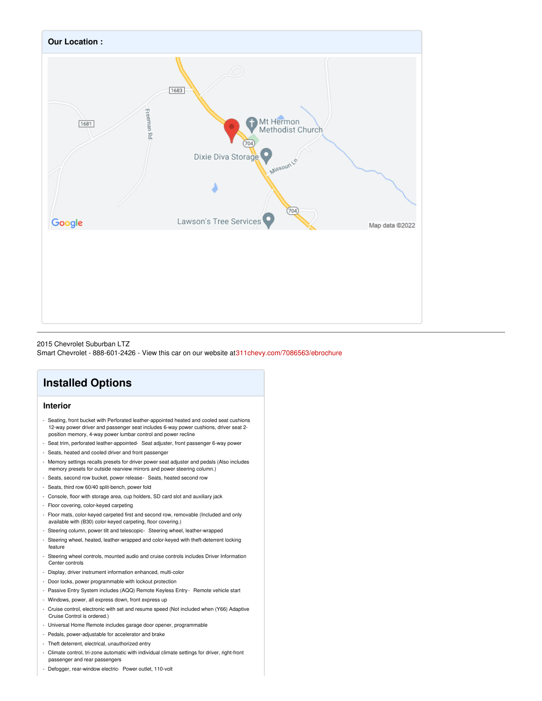

#### 2015 Chevrolet Suburban LTZ Smart Chevrolet - 888-601-2426 - View this car on our website a[t311chevy.com/7086563/ebrochure](https://311chevy.com/vehicle/7086563/2015-chevrolet-suburban-ltz-madison-nc-27025/7086563/ebrochure)

## **Installed Options**

#### **Interior**

- Seating, front bucket with Perforated leather-appointed heated and cooled seat cushions 12-way power driver and passenger seat includes 6-way power cushions, driver seat 2 position memory, 4-way power lumbar control and power recline
- Seat trim, perforated leather-appointed- Seat adjuster, front passenger 6-way power
- Seats, heated and cooled driver and front passenger
- Memory settings recalls presets for driver power seat adjuster and pedals (Also includes
- memory presets for outside rearview mirrors and power steering column.)
- Seats, second row bucket, power release- Seats, heated second row
- Seats, third row 60/40 split-bench, power fold
- Console, floor with storage area, cup holders, SD card slot and auxiliary jack
- Floor covering, color-keyed carpeting
- Floor mats, color-keyed carpeted first and second row, removable (Included and only available with (B30) color-keyed carpeting, floor covering.)
- Steering column, power tilt and telescopic- Steering wheel, leather-wrapped
- Steering wheel, heated, leather-wrapped and color-keyed with theft-deterrent locking feature
- Steering wheel controls, mounted audio and cruise controls includes Driver Information Center controls
- Display, driver instrument information enhanced, multi-color
- Door locks, power programmable with lockout protection
- Passive Entry System includes (AQQ) Remote Keyless Entry Remote vehicle start
- Windows, power, all express down, front express up
- Cruise control, electronic with set and resume speed (Not included when (Y66) Adaptive Cruise Control is ordered.)
- Universal Home Remote includes garage door opener, programmable
- Pedals, power-adjustable for accelerator and brake
- Theft deterrent, electrical, unauthorized entry
- Climate control, tri-zone automatic with individual climate settings for driver, right-front passenger and rear passengers
- Defogger, rear-window electric- Power outlet, 110-volt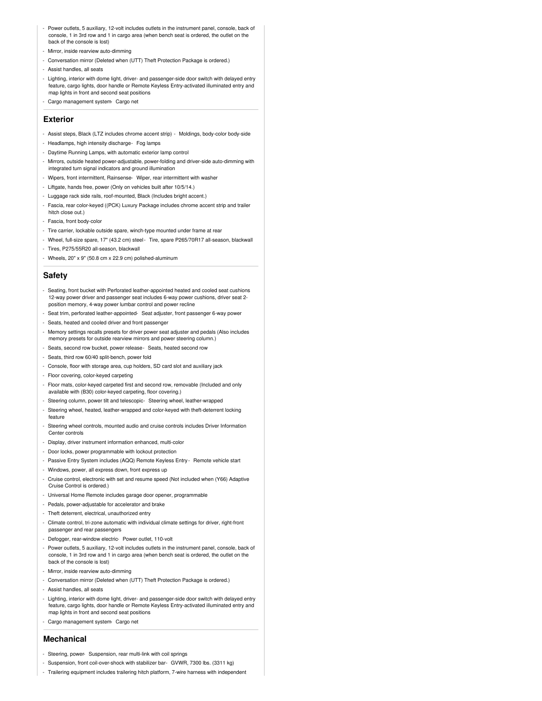- Power outlets, 5 auxiliary, 12-volt includes outlets in the instrument panel, console, back of console, 1 in 3rd row and 1 in cargo area (when bench seat is ordered, the outlet on the back of the console is lost)
- Mirror, inside rearview auto-dimming
- Conversation mirror (Deleted when (UTT) Theft Protection Package is ordered.)
- Assist handles, all seats
- Lighting, interior with dome light, driver- and passenger-side door switch with delayed entry feature, cargo lights, door handle or Remote Keyless Entry-activated illuminated entry and map lights in front and second seat positions
- Cargo management system- Cargo net

#### **Exterior**

- Assist steps, Black (LTZ includes chrome accent strip) Moldings, body-color body-side
- Headlamps, high intensity discharge- Fog lamps
- Daytime Running Lamps, with automatic exterior lamp control
- Mirrors, outside heated power-adjustable, power-folding and driver-side auto-dimming with integrated turn signal indicators and ground illumination
- Wipers, front intermittent, Rainsense- Wiper, rear intermittent with washer
- Liftgate, hands free, power (Only on vehicles built after 10/5/14.)
- Luggage rack side rails, roof-mounted, Black (Includes bright accent.)
- Fascia, rear color-keyed ((PCK) Luxury Package includes chrome accent strip and trailer hitch close out.)
- Fascia, front body-color
- Tire carrier, lockable outside spare, winch-type mounted under frame at rear
- Wheel, full-size spare, 17" (43.2 cm) steel- Tire, spare P265/70R17 all-season, blackwall
- Tires, P275/55R20 all-season, blackwall
- Wheels, 20" x 9" (50.8 cm x 22.9 cm) polished-aluminum

#### **Safety**

- Seating, front bucket with Perforated leather-appointed heated and cooled seat cushions 12-way power driver and passenger seat includes 6-way power cushions, driver seat 2 position memory, 4-way power lumbar control and power recline
- Seat trim, perforated leather-appointed- Seat adjuster, front passenger 6-way power
- Seats, heated and cooled driver and front passenger
- Memory settings recalls presets for driver power seat adjuster and pedals (Also includes memory presets for outside rearview mirrors and power steering column.)
- Seats, second row bucket, power release- Seats, heated second row
- Seats, third row 60/40 split-bench, power fold
- Console, floor with storage area, cup holders, SD card slot and auxiliary jack
- Floor covering, color-keyed carpeting
- Floor mats, color-keyed carpeted first and second row, removable (Included and only available with (B30) color-keyed carpeting, floor covering.)
- Steering column, power tilt and telescopic- Steering wheel, leather-wrapped
- Steering wheel, heated, leather-wrapped and color-keyed with theft-deterrent locking feature
- Steering wheel controls, mounted audio and cruise controls includes Driver Information Center controls
- Display, driver instrument information enhanced, multi-color
- Door locks, power programmable with lockout protection
- Passive Entry System includes (AQQ) Remote Keyless Entry Remote vehicle start
- Windows, power, all express down, front express up
- Cruise control, electronic with set and resume speed (Not included when (Y66) Adaptive Cruise Control is ordered.)
- Universal Home Remote includes garage door opener, programmable
- Pedals, power-adjustable for accelerator and brake
- Theft deterrent, electrical, unauthorized entry
- Climate control, tri-zone automatic with individual climate settings for driver, right-front passenger and rear passengers
- Defogger, rear-window electric- Power outlet, 110-volt
- Power outlets, 5 auxiliary, 12-volt includes outlets in the instrument panel, console, back of console, 1 in 3rd row and 1 in cargo area (when bench seat is ordered, the outlet on the back of the console is lost)
- Mirror, inside rearview auto-dimming
- Conversation mirror (Deleted when (UTT) Theft Protection Package is ordered.)
- Assist handles, all seats
- Lighting, interior with dome light, driver- and passenger-side door switch with delayed entry feature, cargo lights, door handle or Remote Keyless Entry-activated illuminated entry and map lights in front and second seat positions
- Cargo management system- Cargo net

#### **Mechanical**

- Steering, power- Suspension, rear multi-link with coil springs
- Suspension, front coil-over-shock with stabilizer bar- GVWR, 7300 lbs. (3311 kg)
- Trailering equipment includes trailering hitch platform, 7-wire harness with independent